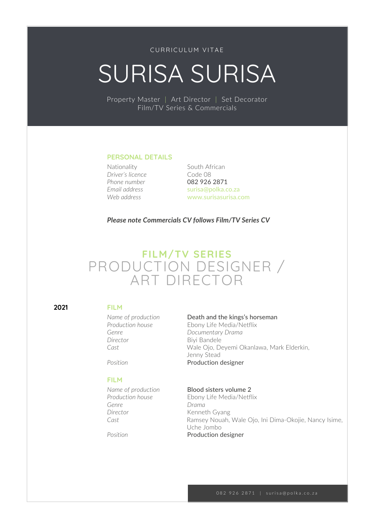### CURRICULUM VITAE

# SURISA SURISA

Property Master | Art Director | Set Decorator Film/TV Series & Commercials

### **PERSONAL DETAILS**

*Driver's licence* Code 08 *Phone number* 082 926 2871

Nationality South African *Email address* surisa@polka.co.za *Web address* www.surisasurisa.com

### *Please note Commercials CV follows Film/TV Series CV*

## **FILM/TV SERIES** PRODUCTION DESIGNER / ART DIRECTOR

### **2021 FILM**

*Director* Biyi Bandele

### **FILM**

*Genre Drama Director* Kenneth Gyang

### *Name of production* Death and the kings's horseman

Production house **Ebony Life Media/Netflix** *Genre Documentary Drama Cast* Wale Ojo, Deyemi Okanlawa, Mark Elderkin, Jenny Stead Position **Production designer** 

### *Name of production* **Blood sisters volume 2**

**Production house** Ebony Life Media/Netflix *Cast* Ramsey Nouah, Wale Ojo, Ini Dima-Okojie, Nancy Isime, Uche Jombo Position **Production designer**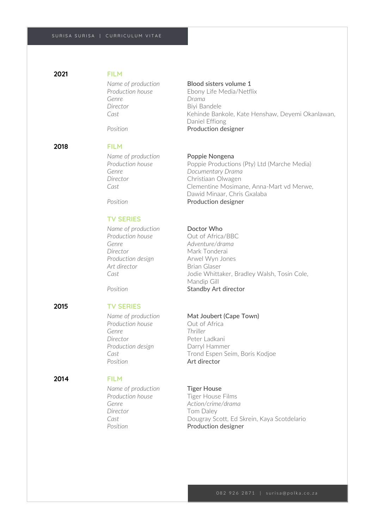*Genre Drama Director* Biyi Bandele

### **2018 FILM**

### **TV SERIES**

*Name of production* **Doctor Who** *Production house* **Out of Africa/BBC**<br>*Genre Adventure/drama Director* Mark Tonderai *Production design* Arwel Wyn Jones **Art director Brian Glaser** 

### **2015 TV SERIES**

**Production house Out of Africa** *Genre Thriller Director* Peter Ladkani **Production design Control Darryl Hammer** Position **Art director** 

### **2014 FILM**

*Name of production* **Tiger House Production house** Tiger House Films *Director* Tom Daley

### *Name of production* **Blood sisters volume 1**

**Production house** Ebony Life Media/Netflix *Cast* Kehinde Bankole, Kate Henshaw, Deyemi Okanlawan, Daniel Effiong Position **Production designer** 

### *Name of production* Poppie Nongena

*Production house* Poppie Productions (Pty) Ltd (Marche Media) *Genre Documentary Drama Director* Christiaan Olwagen *Cast* Clementine Mosimane, Anna-Mart vd Merwe, Dawid Minaar, Chris Gxalaba Position **Production designer** 

*Genre Adventure/drama Cast* Jodie Whittaker, Bradley Walsh, Tosin Cole, Mandip Gill Position **Standby Art director** 

### *Name of production* Mat Joubert (Cape Town)

*Cast* Trond Espen Seim, Boris Kodjoe

*Genre Action/crime/drama* Cast Cast Dougray Scott, Ed Skrein, Kaya Scotdelario Position **Production designer**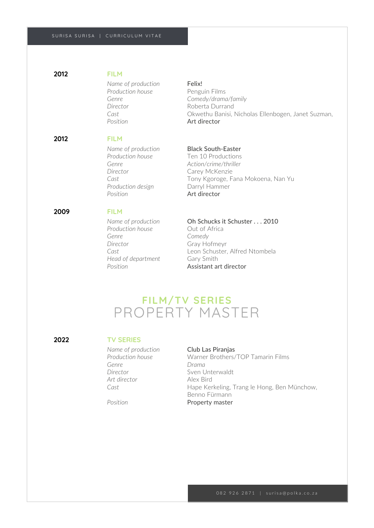**2012 FILM**

*Name of production* **Felix!** *Production house* Penguin Films Position **Art director** 

*Genre Comedy/drama/family Director* Roberta Durrand *Cast* Okwethu Banisi, Nicholas Ellenbogen, Janet Suzman,

## *Name of production* **Black South-Easter**<br>**Production house Ten 10 Productions**

**Ten 10 Productions** *Genre Action/crime/thriller Director* Carey McKenzie *Cast* Tony Kgoroge, Fana Mokoena, Nan Yu *Production design* Darryl Hammer Position **Art director** 

### **2009 FILM**

**Production house Out of Africa** *Genre Comedy Head of department* Gary Smith

### *Name of production* Oh Schucks it Schuster . . . 2010

*Director* Gray Hofmeyr *Cast* Leon Schuster, Alfred Ntombela *Position* Assistant art director

## **FILM/TV SERIES** PROPERTY MASTER

### **2022 TV SERIES**

*Genre Drama Art director* Alex Bird

*Name of production* Club Las Piranjas

*Production house* Warner Brothers/TOP Tamarin Films *Director* Sven Unterwaldt Cast Fape Kerkeling, Trang le Hong, Ben Münchow, Benno Fürmann Position **Property master**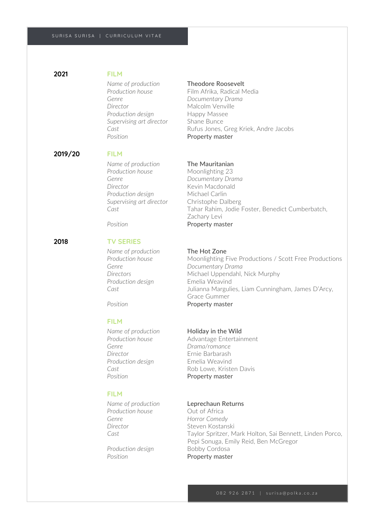*Production house* Film Afrika, Radical Media *Genre Documentary Drama Director* Malcolm Venville **Production design** Happy Massee *Supervising art director* Shane Bunce Position **Property master** 

### **2019/20 FILM**

*Name of production* The Mauritanian **Production house** Moonlighting 23<br>*Genre* Documentary Dra *Director* Kevin Macdonald *Production design* Michael Carlin *Supervising art director* Christophe Dalberg

### **2018 TV SERIES**

*Name of production* The Hot Zone *Production design* Emelia Weavind

### **FILM**

*Genre Drama/romance Director* Ernie Barbarash **Production design Fig. 2.1 Emelia Weavind** Position **Property master** 

### **FILM**

*Name of production* Leprechaun Returns **Production house Out of Africa** *Genre Horror Comedy Director* Steven Kostanski

### *Name of production* Theodore Roosevelt

Cast Cast Rufus Jones, Greg Kriek, Andre Jacobs

*Genre Documentary Drama Cast* Tahar Rahim, Jodie Foster, Benedict Cumberbatch, Zachary Levi Position **Property master** 

*Production house* Moonlighting Five Productions / Scott Free Productions *Genre Documentary Drama Directors* Michael Uppendahl, Nick Murphy *Cast* Julianna Margulies, Liam Cunningham, James D'Arcy, Grace Gummer Position **Property master** 

### *Name of production* **Holiday in the Wild**

Production house **Advantage Entertainment Cast** Cast **Rob Lowe**, Kristen Davis

*Cast* Taylor Spritzer, Mark Holton, Sai Bennett, Linden Porco, Pepi Sonuga, Emily Reid, Ben McGregor **Production design Bobby Cordosa** Position **Property master**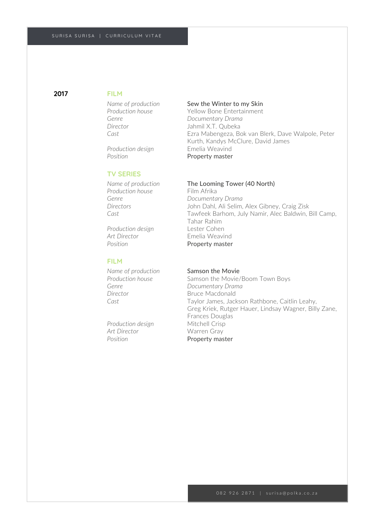*Production design*<br>Position

### **TV SERIES**

**Production house** Film Afrika

*Production design* Lester Cohen **Art Director** Emelia Weavind<br> **Property master** 

### **FILM**

*Name of production* **Samson the Movie** *Director* Bruce Macdonald

*Production design* Mitchell Crisp *Art Director* Warren Gray Position **Property master** 

### *Name of production* Sew the Winter to my Skin

*Production house* Yellow Bone Entertainment *Genre Documentary Drama Director* Jahmil X.T. Qubeka *Cast* Ezra Mabengeza, Bok van Blerk, Dave Walpole, Peter Kurth, Kandys McClure, David James **Property master** 

### *Name of production* The Looming Tower (40 North)

*Genre Documentary Drama Directors* John Dahl, Ali Selim, Alex Gibney, Craig Zisk *Cast* Tawfeek Barhom, July Namir, Alec Baldwin, Bill Camp, Tahar Rahim **Property master** 

*Production house* Samson the Movie/Boom Town Boys *Genre Documentary Drama Cast* Taylor James, Jackson Rathbone, Caitlin Leahy, Greg Kriek, Rutger Hauer, Lindsay Wagner, Billy Zane, Frances Douglas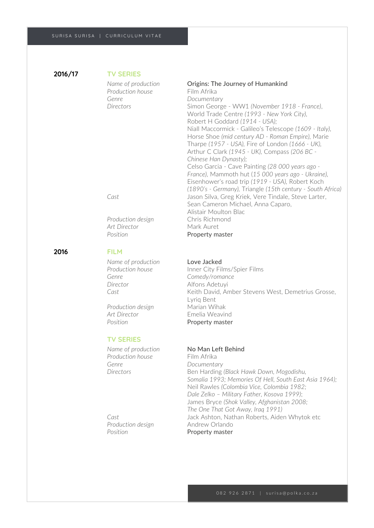### **2016/17 TV SERIES**

| Name of production<br>Production house | Origins: The Journey of Humankind<br>Film Afrika            |
|----------------------------------------|-------------------------------------------------------------|
| Genre                                  | Documentary                                                 |
| Directors                              | Simon George - WW1 (November 1918 - France),                |
|                                        | World Trade Centre (1993 - New York City),                  |
|                                        | Robert H Goddard (1914 - USA);                              |
|                                        | Niall Maccormick - Galileo's Telescope (1609 - Italy),      |
|                                        | Horse Shoe (mid century AD - Roman Empire), Marie           |
|                                        | Tharpe (1957 - USA), Fire of London (1666 - UK),            |
|                                        | Arthur C Clark (1945 - UK), Compass (206 BC -               |
|                                        | Chinese Han Dynasty);                                       |
|                                        | Celso Garcia - Cave Painting (28 000 years ago -            |
|                                        | France), Mammoth hut (15 000 years ago - Ukraine),          |
|                                        | Eisenhower's road trip (1919 - USA), Robert Koch            |
|                                        | (1890's - Germany), Triangle (15th century - South Africa)  |
| Cast                                   | Jason Silva, Greg Kriek, Vere Tindale, Steve Larter,        |
|                                        | Sean Cameron Michael, Anna Caparo,<br>Alistair Moulton Blac |
| Production design                      | Chris Richmond                                              |
| Art Director                           | Mark Auret                                                  |
| Position                               | Property master                                             |
|                                        |                                                             |
|                                        |                                                             |

### **2016 FILM**

*Name of production* Love Jacked *Genre Comedy/romance*

Production design Marian Wihak<br>Art Director **Marian Emelia Weavir** Position **Property master** 

### **TV SERIES**

**Production house** Film Afrika *Genre Documentary*

Position **Property master** 

*Production house* Inner City Films/Spier Films Alfons Adetuyi Cast Cast Keith David, Amber Stevens West, Demetrius Grosse, Lyriq Bent **Emelia Weavind** 

### *Name of production* No Man Left Behind

*Directors* Ben Harding *(Black Hawk Down, Mogodishu, Somalia 1993; Memories Of Hell, South East Asia 1964);*  Neil Rawles *(Colombia Vice, Colombia 1982; Dale Zelko – Military Father, Kosova 1999)*; James Bryce *(Shok Valley, Afghanistan 2008; The One That Got Away, Iraq 1991) Cast* Jack Ashton, Nathan Roberts, Aiden Whytok etc Production design **Andrew Orlando**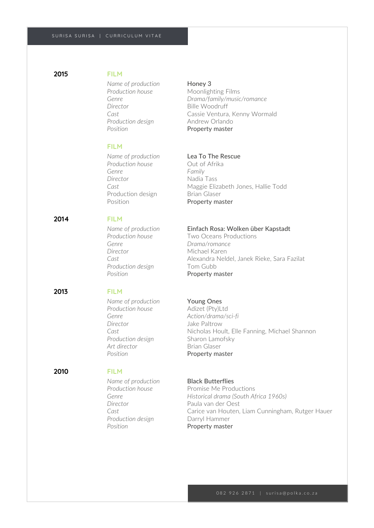*Name of production* **Honey 3** *Director* Bille Woodruff *Production design* Andrew Orlando

### **FILM**

*Production house* Out of Afrika *Genre Family* Production design Brian Glaser Position **Property master** 

### **2014 FILM**

*Director* Michael Karen *Production design* Tom Gubb Position **Property master** 

### **2013 FILM**

*Name of production* Young Ones *Production house* Adizet (Pty)Ltd *Director* Jake Paltrow Production design Sharon Lamofsky **Art director Brian Glaser** Position **Property master** 

### **2010 FILM**

**Production design Control Darryl Hammer** Position **Property master** 

*Production house* Moonlighting Films *Genre Drama/family/music/romance Cast* Cassie Ventura, Kenny Wormald Position **Property master** 

### *Name of production* Lea To The Rescue

*Director* Nadia Tass *Cast* Maggie Elizabeth Jones, Hallie Todd

### *Name of production* Einfach Rosa: Wolken über Kapstadt

**Production house** Two Oceans Productions<br> *Genre Drama/romance Genre Drama/romance Cast* Alexandra Neldel, Janek Rieke, Sara Fazilat

*Genre Action/drama/sci-fi* Cast Cast Nicholas Hoult, Elle Fanning, Michael Shannon

### *Name of production* **Black Butterflies**

**Production house** Promise Me Productions *Genre Historical drama (South Africa 1960s) Director* Paula van der Oest *Cast* Carice van Houten, Liam Cunningham, Rutger Hauer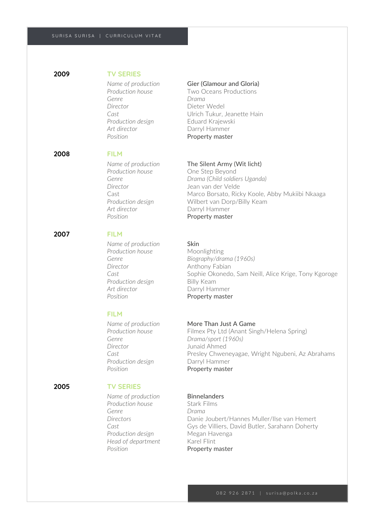### **2009 TV SERIES**

*Genre Drama Director* Dieter Wedel *Production design* Eduard Krajewski *Art director* Darryl Hammer Position **Property master** 

### **2008 FILM**

**Production house One Step Beyond**<br>*Genre Drama (Child soldie Art director* Darryl Hammer Position **Property master** 

### **2007 FILM**

*Name of production*<br>*Production house* Moonlighting **Production house Production design Billy Keam** *Art director* Darryl Hammer

### **FILM**

*Director* Junaid Ahmed *Production design* Darryl Hammer Position **Property master** 

### **2005 TV SERIES**

*Name of production* **Binnelanders** *Production house* Stark Films *Genre Drama Production design* Megan Havenga *Head of department* Karel Flint Position **Property master** 

### *Name of production* **Gier (Glamour and Gloria)**

*Production house* Two Oceans Productions *Cast* Ulrich Tukur, Jeanette Hain

### *Name of production* The Silent Army (Wit licht)

*Genre Drama (Child soldiers Uganda) Director* Jean van der Velde Cast Marco Borsato, Ricky Koole, Abby Mukiibi Nkaaga *Production design* Wilbert van Dorp/Billy Keam

*Genre Biography/drama (1960s)* **Anthony Fabian** Cast Cast Sophie Okonedo, Sam Neill, Alice Krige, Tony Kgoroge Position **Property master** 

### *Name of production* **More Than Just A Game**

Production house **Filmex Pty Ltd (Anant Singh/Helena Spring)** *Genre Drama/sport (1960s)* Cast **Presley Chweneyagae, Wright Ngubeni, Az Abrahams** 

*Directors* Danie Joubert/Hannes Muller/Ilse van Hemert Cast Cast Cast Gys de Villiers, David Butler, Sarahann Doherty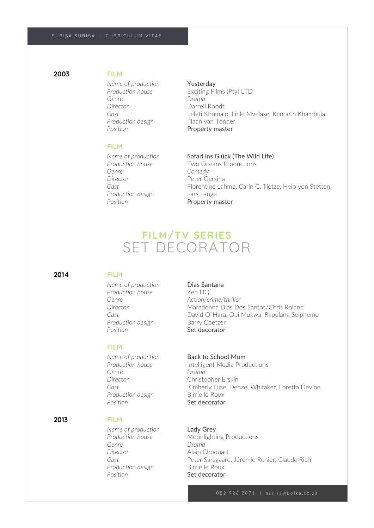*Name of production* **Yesterday** *Genre Drama Director* Darrell Roodt **Production design** Tiaan van Tonder Position **Property master** 

### **FILM**

*Production house* Two Oceans Productions *Genre Comedy Production design* Lars Lange Position **Property master** 

*Production house* Exciting Films (Pty) LTD *Cast* Leleti Khumalo, Lihle Mvelase, Kenneth Khambula

### *Name of production* Safari ins Glück (The Wild Life)

*Director* Peter Gersina *Cast* Florentine Lahme, Carin C. Tietze, Heio von Stetten

## **FILM/TV SERIES** SET DECORATOR

### **2014 FILM**

*Name of production* **Dias Santana** *Production house* Zen HQ **Production design Barry Coetzer** Position **Set decorator** 

### **FILM**

*Name of production* Back to School Mom *Genre Drama Director* Christopher Erskin *Production design* Birrie le Roux Position **Set decorator** 

*Genre Action/crime/thriller Director* Maradonna Dias Dos Santos/Chris Roland Cast **David O'Hara, Obi Mukwa, Rapulana Seiphemo** 

Production house **Intelligent Media Productions** *Cast* Kimberly Elise, Denzel Whitaker, Loretta Devine

### *Name of production* Lady Grey

*Production house* Moonlighting Productions *Cast* Peter Sarsgaard, Jérémie Renier, Claude Rich

**2013 FILM**

*Genre Drama Director* Alain Choquart **Production design Birrie le Roux** Position **Set decorator**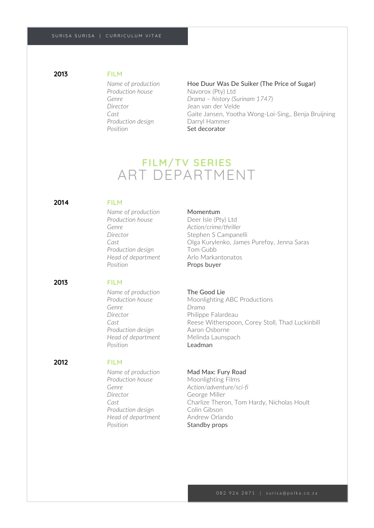**Production house** Navorox (Pty) Ltd **Production design Control Darryl Hammer** *Position* Set decorator

### *Name of production* Hoe Duur Was De Suiker (The Price of Sugar)

*Genre Drama – history (Surinam 1747*) *Director* Jean van der Velde *Cast* Gaite Jansen, Yootha Wong-Loi-Sing,, Benja Bruijning

## **FILM/TV SERIES** ART DEPARTMENT

### **2014 FILM**

*Name of production* **Momentum Production house** Deer Isle (Pty) Ltd *Genre Action/crime/thriller Production design* Tom Gubb *Head of department* Arlo Markantonatos Position **Props buyer** 

### **2013 FILM**

*Name of production* The Good Lie *Genre Drama Director* Philippe Falardeau **Production design Contract Aaron Osborne** *Head of department* Melinda Launspach *Position* Leadman

### **2012 FILM**

*Production house* Moonlighting Films *Director* George Miller **Production design Colin Gibson** *Head of department* Andrew Orlando Position **Standby props** 

**Director** Stephen S Campanelli *Cast* Olga Kurylenko, James Purefoy, Jenna Saras

*Production house* Moonlighting ABC Productions Cast Cast Reese Witherspoon, Corey Stoll, Thad Luckinbill

### *Name of production* Mad Max: Fury Road

*Genre Action/adventure/sci-fi Cast* Charlize Theron, Tom Hardy, Nicholas Hoult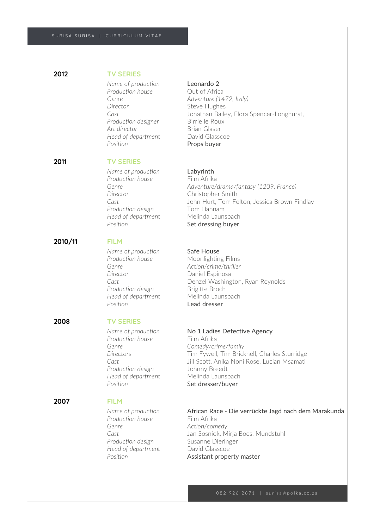### **2012 TV SERIES**

*Name of production* Leonardo 2 **Production house Out of Africa** *Director* Steve Hughes *Production designer* Birrie le Roux *Art director* Brian Glaser *Head of department* David Glasscoe Position **Props buyer** 

### **2011 TV SERIES**

*Name of production* Labyrinth *Production house* Film Afrika *Director* Christopher Smith *Production design* Tom Hannam *Head of department* Melinda Launspach **Position** Set dressing buyer

### **2010/11 FILM**

*Production house* Moonlighting Films *Genre Action/crime/thriller Director* Daniel Espinosa **Production design Brigitte Broch** *Head of department* Melinda Launspach *Position* Lead dresser

### **2008 TV SERIES**

Production house Film Afrika *Production design* Johnny Breedt *Head of department* Melinda Launspach Position **Set dresser/buyer** 

### **2007 FILM**

**Production house** Film Afrika *Genre Action/comedy* **Production design Susanne Dieringer** *Head of department* David Glasscoe

*Genre Adventure (1472, Italy) Cast* Jonathan Bailey, Flora Spencer-Longhurst,

*Genre Adventure/drama/fantasy (1209, France) Cast* John Hurt, Tom Felton, Jessica Brown Findlay

### *Name of production* **Safe House**

**Cast Cast** Denzel Washington, Ryan Reynolds

### *Name of production* No 1 Ladies Detective Agency

*Genre Comedy/crime/family* Directors Tim Fywell, Tim Bricknell, Charles Sturridge *Cast* Jill Scott, Anika Noni Rose, Lucian Msamati

### *Name of production* African Race - Die verrückte Jagd nach dem Marakunda

*Cast* Jan Sosniok, Mirja Boes, Mundstuhl Position **Assistant property master**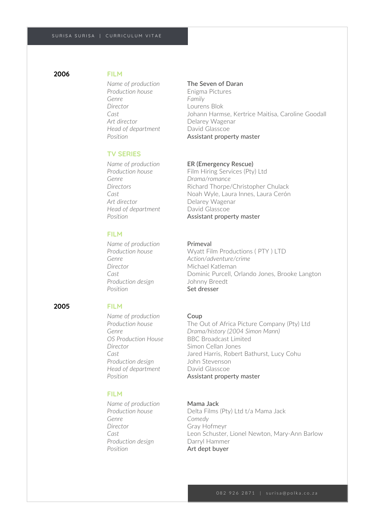**Production house** Enigma Pictures *Genre Family Director* Lourens Blok *Art director* Delarey Wagenar *Head of department* David Glasscoe

### **TV SERIES**

Art director **Delarey Wagenar** *Head of department* David Glasscoe

### **FILM**

*Name of production* Primeval<br>Production house Wyatt Fil *Director* Michael Katleman *Production design* Johnny Breedt Position **Set dresser** 

### **2005 FILM**

*Name of production* **Coup** *Director* Simon Cellan Jones *Production design* John Stevenson **Head of department** 

### **FILM**

*Name of production* **Mama Jack** *Genre Comedy Director* Gray Hofmeyr **Production design Control Darryl Hammer** Position **Art dept buyer** 

### *Name of production* The Seven of Daran

*Cast* Johann Harmse, Kertrice Maitisa, Caroline Goodall **Position Assistant property master** 

### *Name of production* ER (Emergency Rescue)

Production house Film Hiring Services (Pty) Ltd<br> *Genre Genre Drama/romance Directors* Richard Thorpe/Christopher Chulack Cast **Cast** Noah Wyle, Laura Innes, Laura Cerón Position **Assistant property master** 

**Wyatt Film Productions ( PTY ) LTD** *Genre Action/adventure/crime* Cast Cast Dominic Purcell, Orlando Jones, Brooke Langton

*Production house* The Out of Africa Picture Company (Pty) Ltd *Genre Drama/history (2004 Simon Mann)* OS Production House BBC Broadcast Limited *Cast* Jared Harris, Robert Bathurst, Lucy Cohu *Position* Assistant property master

*Production house* Delta Films (Pty) Ltd t/a Mama Jack *Cast* Leon Schuster, Lionel Newton, Mary-Ann Barlow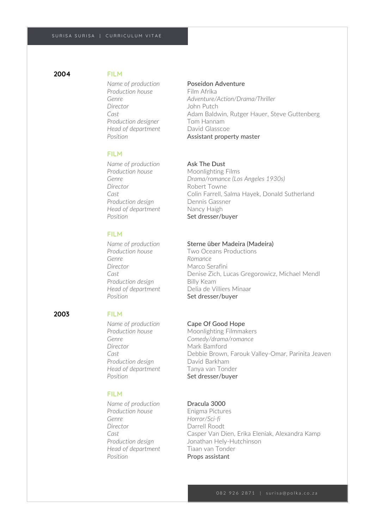**Production house** Film Afrika *Director* John Putch *Production designer* Tom Hannam *Head of department* David Glasscoe

### **FILM**

*Name of production* Ask The Dust *Production house* Moonlighting Films<br>*Genre Drama/romance* (Los *Director* Robert Towne *Production design* Dennis Gassner *Head of department* Nancy Haigh Position **Set dresser/buyer** 

### **FILM**

**Name of production**<br>**Sterne über Madeira (Madeira)**<br>**Production house** Two Oceans Productions *Genre Romance Director* Marco Serafini **Production design Billy Keam** Position **Set dresser/buyer** 

### **2003 FILM**

*Name of production* Cape Of Good Hope **Production house** Moonlighting Filmmakers **Director** Mark Bamford *Production design* David Barkham *Head of department* Tanya van Tonder Position **Set dresser/buyer** 

### **FILM**

*Name of production* **Dracula 3000** *Production house* Enigma Pictures *Genre Horror/Sci-fi Director* Darrell Roodt *Head of department* Tiaan van Tonder Position **Props** assistant

### *Name of production* Poseidon Adventure

*Genre Adventure/Action/Drama/Thriller* Cast Cast Cast Adam Baldwin, Rutger Hauer, Steve Guttenberg Position **Assistant property master** 

*Genre Drama/romance (Los Angeles 1930s) Cast* Colin Farrell, Salma Hayek, Donald Sutherland

**Two Oceans Productions** *Cast* Denise Zich, Lucas Gregorowicz, Michael Mendl *Head of department* Delia de Villiers Minaar

*Genre Comedy/drama/romance Cast* Debbie Brown, Farouk Valley-Omar, Parinita Jeaven

*Cast* Casper Van Dien, Erika Eleniak, Alexandra Kamp *Production design* Jonathan Hely-Hutchinson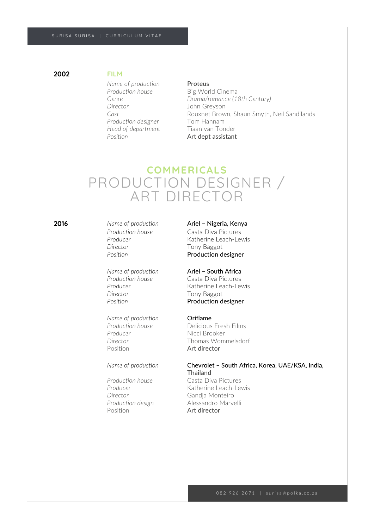*Name of production* Proteus **Production house** Big World Cinema *Director* John Greyson *Production designer* Tom Hannam *Head of department* Tiaan van Tonder Position **Art dept assistant** 

*Genre Drama/romance (18th Century)* Cast Cast Rouxnet Brown, Shaun Smyth, Neil Sandilands

## **COMMERICALS** PRODUCTION DESIGNER / ART DIRECTOR

**2016** *Name of production* Ariel – Nigeria, Kenya *Production house* Casta Diva Pictures *Director* Tony Baggot

> *Production house* Casta Diva Pictures *Director* Tony Baggot

*Name of production* **Oriflame** *Production house* Delicious Fresh Films *Producer* Nicci Brooker Position **Art director** 

*Director* Gandja Monteiro Position **Art director** 

**Producer Katherine Leach-Lewis** Position **Production designer** 

### *Name of production* **Ariel – South Africa**

**Producer Katherine Leach-Lewis** Position **Production designer** 

*Director* Thomas Wommelsdorf

### *Name of production* Chevrolet – South Africa, Korea, UAE/KSA, India, Thailand *Production house* Casta Diva Pictures *Producer* Katherine Leach-Lewis

*Production design* Alessandro Marvelli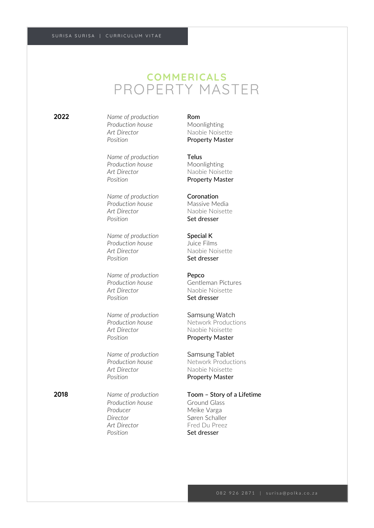## **COMMERICALS** PROPERTY MASTER

**2022** *Name of production* Rom **Production house** Moonlighting *Art Director* Naobie Noisette Position **Property Master** 

> *Name of production* **Telus** *Production house* Moonlighting *Art Director* Naobie Noisette Position **Property Master**

> **Name of production**<br>**Production house Massive Media Production house** *Art Director* Naobie Noisette **Position Set dresser**

> **Name of production**<br>**Production house Special K**<br>**Production house Special K Production house** *Art Director* Naobie Noisette Position **Set dresser**

*Name of production* **Pepco** *Production house* Gentleman Pictures *Art Director* Naobie Noisette **Position Set dresser** 

*Name of production* **Samsung Watch** *Art Director* Naobie Noisette Position **Property Master** 

*Name of production* Samsung Tablet *Art Director* Naobie Noisette Position **Property Master** 

**Production house Ground Glass** Producer Meike Varga *Director* Søren Schaller *Art Director* Fred Du Preez **Position Set dresser** 

**Production house** Network Productions

**Production house** Network Productions

**2018** *Name of production* Toom – Story of a Lifetime

### 082 926 2871 | surisa @polka.co.za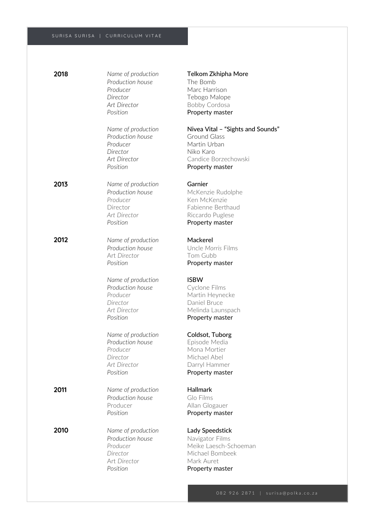| 2018 | Name of production<br>Production house<br>Producer<br>Director<br>Art Director<br>Position | Telkom Z<br>The Bom<br>Marc Har<br>Tebogo N<br>Bobby Co<br>Property        |
|------|--------------------------------------------------------------------------------------------|----------------------------------------------------------------------------|
|      | Name of production<br>Production house<br>Producer<br>Director<br>Art Director<br>Position | Nivea Vit<br>Ground C<br>Martin U<br>Niko Karo<br>Candice I<br>Property    |
| 2013 | Name of production<br>Production house<br>Producer<br>Director<br>Art Director<br>Position | Garnier<br>McKenzie<br>Ken McK<br>Fabienne<br>Riccardo<br>Property         |
| 2012 | Name of production<br>Production house<br>Art Director<br>Position                         | Mackerel<br>Uncle Mo<br>Tom Gub<br>Property                                |
|      | Name of production<br>Production house<br>Producer<br>Director<br>Art Director<br>Position | <b>ISBW</b><br>Cyclone I<br>Martin H<br>Daniel Br<br>Melinda I<br>Property |
|      | Name of production<br>Production house<br>Producer<br>Director<br>Art Director<br>Position | Coldsot,<br>Episode I<br>Mona Mo<br>Michael A<br>Darryl Ha<br>Property     |
| 2011 | Name of production<br>Production house<br>Producer<br>Position                             | <b>Hallmark</b><br>Glo Films<br>Allan Glo<br>Property                      |
| 2010 | Name of production<br>Production house<br>Producer<br>Director<br>Art Director<br>Position | Lady Spe<br>Navigato<br>Meike La<br>Michael E<br>Mark Aur<br>Property      |

### **2018** *Name of production* Telkom Zkhipha More

*Pomb* rc Harrison **Digo Malope** by Cordosa perty master

### ea Vital – "Sights and Sounds" **Production** Glass

rtin Urban o Karo *Art Director* Candice Borzechowski perty master

*Renzie Rudolphe* **McKenzie** ienne Berthaud ardo Puglese perty master

### *Production house* Uncle *Morris* Films n Gubb perty master

*Production house* Cyclone Films tin Heynecke *niel Bruce Artiana Launspach* perty master

### dsot, Tuborg

sode Media *Producer* Mona Mortier hael Abel ryl Hammer perty master

 $P$ *Prims* n Glogauer perty master

### **2010** *Name of production* Lady Speedstick

*Prince* Films *Producer* Meike Laesch-Schoeman hael Bombeek  $rk$  Auret perty master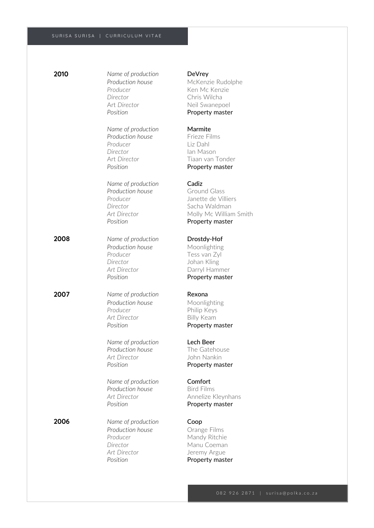| 2010 | Name of production<br>Production house<br>Producer<br>Director<br>Art Director<br>Position | <b>DeVrey</b><br>McKenzie Rudolphe<br>Ken Mc Kenzie<br>Chris Wilcha<br>Neil Swanepoel<br>Property master          |
|------|--------------------------------------------------------------------------------------------|-------------------------------------------------------------------------------------------------------------------|
|      | Name of production<br>Production house<br>Producer<br>Director<br>Art Director<br>Position | Marmite<br>Frieze Films<br>Liz Dahl<br>lan Mason<br>Tiaan van Tonder<br>Property master                           |
|      | Name of production<br>Production house<br>Producer<br>Director<br>Art Director<br>Position | Cadiz<br><b>Ground Glass</b><br>Janette de Villiers<br>Sacha Waldman<br>Molly Mc William Smith<br>Property master |
| 2008 | Name of production<br>Production house<br>Producer<br>Director<br>Art Director<br>Position | Drostdy-Hof<br>Moonlighting<br>Tess van Zyl<br>Johan Kling<br>Darryl Hammer<br>Property master                    |
| 2007 | Name of production<br>Production house<br>Producer<br>Art Director<br>Position             | Rexona<br>Moonlighting<br>Philip Keys<br><b>Billy Keam</b><br>Property master                                     |
|      | Name of production<br>Production house<br>Art Director<br>Position                         | Lech Beer<br>The Gatehouse<br>John Nankin<br>Property master                                                      |
|      | Name of production<br>Production house<br>Art Director<br>Position                         | Comfort<br><b>Bird Films</b><br>Annelize Kleynhans<br>Property master                                             |
| 2006 | Name of production<br>Production house<br>Producer<br>Director<br>Art Director<br>Position | Coop<br>Orange Films<br>Mandy Ritchie<br>Manu Coeman<br>Jeremy Argue<br>Property master                           |
|      |                                                                                            |                                                                                                                   |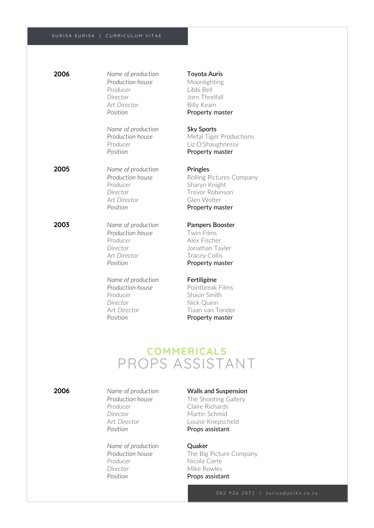| 2006 | Name of production<br>Production house<br>Producer<br>Director<br>Art Director<br>Position | <b>Toyota Auris</b><br>Moonlighting<br>Libbi Bell<br>Jorn Threlfall<br><b>Billy Keam</b><br>Property master       |
|------|--------------------------------------------------------------------------------------------|-------------------------------------------------------------------------------------------------------------------|
|      | Name of production<br>Production house<br>Producer<br>Position                             | <b>Sky Sports</b><br>Metal Tiger Productions<br>Liz O'Shaughnessy<br>Property master                              |
| 2005 | Name of production<br>Production house<br>Producer<br>Director<br>Art Director<br>Position | Pringles<br>Rolling Pictures Company<br>Sharyn Knight<br><b>Trevor Robinson</b><br>Glen Wolter<br>Property master |
| 2003 | Name of production<br>Production house<br>Producer<br>Director<br>Art Director<br>Position | Pampers Booster<br>Twin Films<br>Alex Fischer<br>Jonathan Tayler<br><b>Tracey Collis</b><br>Property master       |
|      | Name of production<br>Production house<br>Producer<br>Director<br>Art Director<br>Position | Fertiligène<br>Pointbreak Films<br>Shaun Smith<br>Nick Quinn<br>Tiaan van Tonder<br>Property master               |

## **COMMERICALS** PROPS ASSISTANT

*Producer* Claire Richards **Director** Martin Schmid<br>
Art Director Louise Knepscl Position **Props assistant** 

*Name of production* **Quaker** Producer Nicola Corte *Director* Mike Rowles Position **Props assistant** 

### **2006** *Name of production* Walls and Suspension

*Production house* The Shooting Gallery Louise Knepscheld

*Production house* The Big Picture Company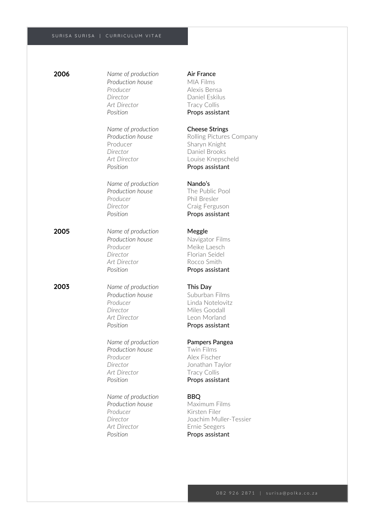| 2006 | Name of production<br>Production house<br>Producer<br>Director<br>Art Director<br>Position  | Air France<br>MIA Films<br>Alexis Bensa<br>Daniel Eskilus<br><b>Tracy Collis</b><br>Props assistant                         |
|------|---------------------------------------------------------------------------------------------|-----------------------------------------------------------------------------------------------------------------------------|
|      | Name of production<br>Production house<br>Producer<br>Director<br>Art Director<br>Position  | <b>Cheese Strings</b><br>Rolling Pictures Company<br>Sharyn Knight<br>Daniel Brooks<br>Louise Knepscheld<br>Props assistant |
|      | Name of production<br>Production house<br>Producer<br>Director<br>Position                  | Nando's<br>The Public Pool<br>Phil Bresler<br>Craig Ferguson<br>Props assistant                                             |
| 2005 | Name of production<br>Production house<br>Producer<br>Director<br>Art Director<br>Position  | Meggle<br>Navigator Films<br>Meike Laesch<br>Florian Seidel<br>Rocco Smith<br>Props assistant                               |
| 2003 | Name of production<br>Production house<br>Producer<br>Director<br>Art Director<br>Position  | This Day<br>Suburban Films<br>Linda Notelovitz<br>Miles Goodall<br>Leon Morland<br>Props assistant                          |
|      | Name of production<br>Production house.<br>Producer<br>Director<br>Art Director<br>Position | Pampers Pangea<br>Twin Films<br>Alex Fischer<br>Jonathan Taylor<br><b>Tracy Collis</b><br>Props assistant                   |
|      | Name of production<br>Production house<br>Producer<br>Director<br>Art Director<br>Position  | <b>BBQ</b><br>Maximum Films<br>Kirsten Filer<br>Joachim Muller-Tessier<br>Ernie Seegers<br>Props assistant                  |
|      |                                                                                             |                                                                                                                             |

### *Art Director* Louise Knepscheld